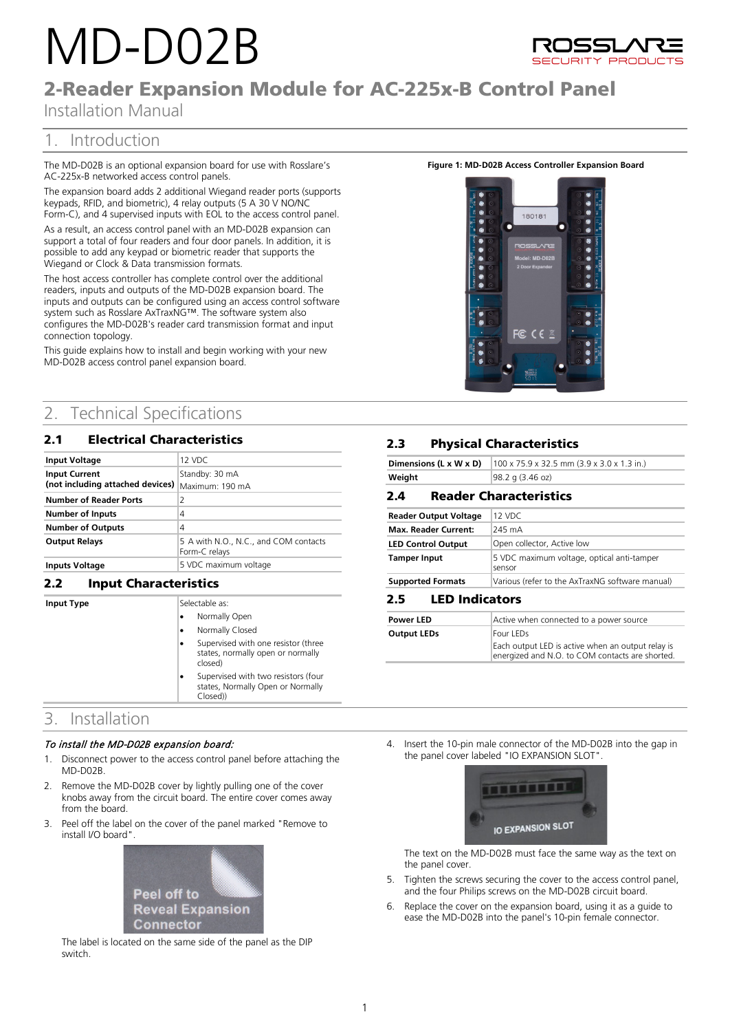# MD-D02B



# 2-Reader Expansion Module for AC-225x-B Control Panel

Installation Manual

## 1. Introduction

The MD-D02B is an optional expansion board for use with Rosslare's AC-225x-B networked access control panels.

The expansion board adds 2 additional Wiegand reader ports (supports keypads, RFID, and biometric), 4 relay outputs (5 A 30 V NO/NC Form-C), and 4 supervised inputs with EOL to the access control panel.

As a result, an access control panel with an MD-D02B expansion can support a total of four readers and four door panels. In addition, it is possible to add any keypad or biometric reader that supports the Wiegand or Clock & Data transmission formats.

The host access controller has complete control over the additional readers, inputs and outputs of the MD-D02B expansion board. The inputs and outputs can be configured using an access control software system such as Rosslare AxTraxNG™. The software system also configures the MD-D02B's reader card transmission format and input connection topology.

This guide explains how to install and begin working with your new MD-D02B access control panel expansion board.

## 2. Technical Specifications

## 2.1 Electrical Characteristics

| <b>Input Voltage</b>                                     | 12 VDC                                                 |
|----------------------------------------------------------|--------------------------------------------------------|
| <b>Input Current</b><br>(not including attached devices) | Standby: 30 mA<br>Maximum: 190 mA                      |
| <b>Number of Reader Ports</b>                            | 2                                                      |
| <b>Number of Inputs</b>                                  | 4                                                      |
| <b>Number of Outputs</b>                                 | 4                                                      |
| <b>Output Relays</b>                                     | 5 A with N.O., N.C., and COM contacts<br>Form-C relays |
| <b>Inputs Voltage</b>                                    | 5 VDC maximum voltage                                  |

## **2.2 Input Characteristics**

**Input Type** Selectable as: • Normally Open • Normally Closed Supervised with one resistor (three states, normally open or normally closed) • Supervised with two resistors (four states, Normally Open or Normally Closed))

## 3. Installation

## To install the MD-D02B expansion board:

- 1. Disconnect power to the access control panel before attaching the MD-D02B.
- 2. Remove the MD-D02B cover by lightly pulling one of the cover knobs away from the circuit board. The entire cover comes away from the board.
- 3. Peel off the label on the cover of the panel marked "Remove to install I/O board".



The label is located on the same side of the panel as the DIP switch.

## **Figure 1: MD-D02B Access Controller Expansion Board**



## **2.3** Physical Characteristics

|        | <b>Dimensions (L x W x D)</b> $(100 \times 75.9 \times 32.5 \text{ mm})$ (3.9 x 3.0 x 1.3 in.) |
|--------|------------------------------------------------------------------------------------------------|
| Weight | 98.2 g (3.46 oz)                                                                               |

## 2.4 **Reader Characteristics**

| <b>Reader Output Voltage</b> | 12 VDC                                               |
|------------------------------|------------------------------------------------------|
| <b>Max. Reader Current:</b>  | 245 mA                                               |
| <b>LED Control Output</b>    | Open collector, Active low                           |
| <b>Tamper Input</b>          | 5 VDC maximum voltage, optical anti-tamper<br>sensor |
| <b>Supported Formats</b>     | Various (refer to the AxTraxNG software manual)      |

## 2.5 **LED Indicators**

| <b>Power LED</b>   | Active when connected to a power source                                                              |
|--------------------|------------------------------------------------------------------------------------------------------|
| <b>Output LEDs</b> | Four LEDs                                                                                            |
|                    | Each output LED is active when an output relay is<br>energized and N.O. to COM contacts are shorted. |

4. Insert the 10-pin male connector of the MD-D02B into the gap in the panel cover labeled "IO EXPANSION SLOT".



The text on the MD-D02B must face the same way as the text on the panel cover.

- 5. Tighten the screws securing the cover to the access control panel, and the four Philips screws on the MD-D02B circuit board.
- 6. Replace the cover on the expansion board, using it as a guide to ease the MD-D02B into the panel's 10-pin female connector.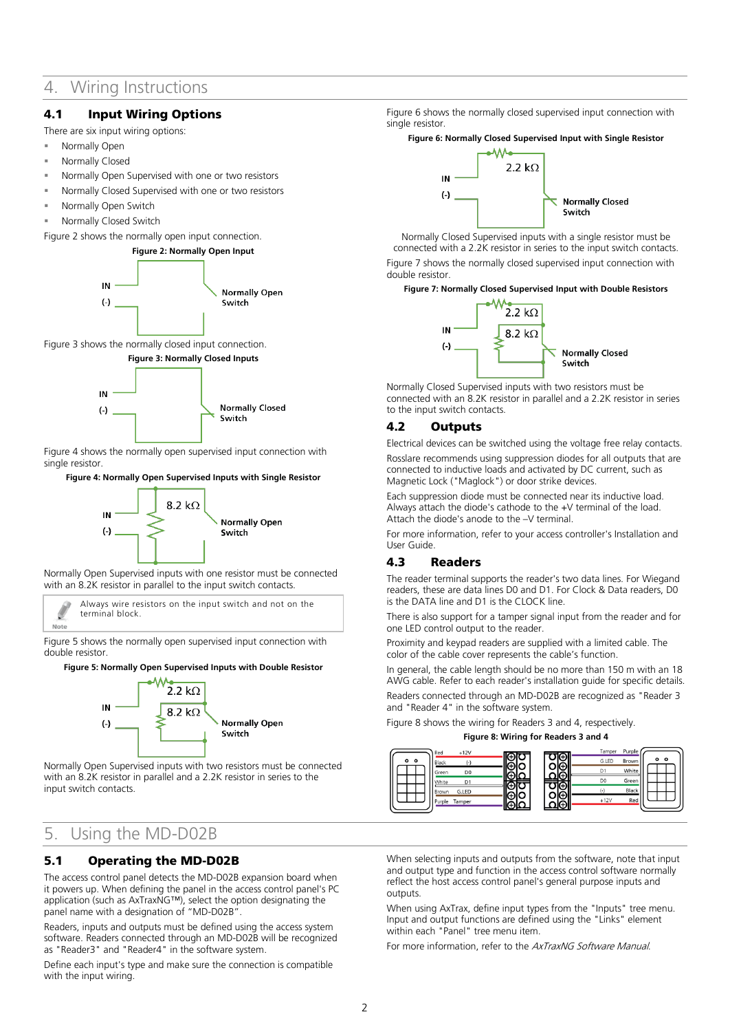## 4. Wiring Instructions

## 4.1 Input Wiring Options

There are six input wiring options:

- Normally Open
- Normally Closed
- Normally Open Supervised with one or two resistors
- Normally Closed Supervised with one or two resistors
- Normally Open Switch
- Normally Closed Switch

<span id="page-1-0"></span>[Figure 2](#page-1-0) shows the normally open input connection.



<span id="page-1-1"></span>[Figure 3](#page-1-1) shows the normally closed input connection.



[Figure 4](#page-1-2) shows the normally open supervised input connection with single resistor.

#### <span id="page-1-2"></span>**Figure 4: Normally Open Supervised Inputs with Single Resistor**



Normally Open Supervised inputs with one resistor must be connected with an 8.2K resistor in parallel to the input switch contacts.

Always wire resistors on the input switch and not on the terminal block. Note

[Figure 5](#page-1-3) shows the normally open supervised input connection with double resistor.

#### <span id="page-1-3"></span>**Figure 5: Normally Open Supervised Inputs with Double Resistor**



Normally Open Supervised inputs with two resistors must be connected with an 8.2K resistor in parallel and a 2.2K resistor in series to the input switch contacts.

## 5. Using the MD-D02B

## 5.1 Operating the MD-D02B

The access control panel detects the MD-D02B expansion board when it powers up. When defining the panel in the access control panel's PC application (such as AxTraxNG™), select the option designating the panel name with a designation of "MD-D02B".

Readers, inputs and outputs must be defined using the access system software. Readers connected through an MD-D02B will be recognized as "Reader3" and "Reader4" in the software system.

Define each input's type and make sure the connection is compatible with the input wiring.

[Figure 6](#page-1-4) shows the normally closed supervised input connection with single resistor.

## <span id="page-1-4"></span>**Figure 6: Normally Closed Supervised Input with Single Resistor**



Normally Closed Supervised inputs with a single resistor must be connected with a 2.2K resistor in series to the input switch contacts. [Figure 7](#page-1-5) shows the normally closed supervised input connection with double resistor.

## <span id="page-1-5"></span>**Figure 7: Normally Closed Supervised Input with Double Resistors**



Normally Closed Supervised inputs with two resistors must be connected with an 8.2K resistor in parallel and a 2.2K resistor in series to the input switch contacts.

## 4.2 Outputs

Electrical devices can be switched using the voltage free relay contacts. Rosslare recommends using suppression diodes for all outputs that are connected to inductive loads and activated by DC current, such as Magnetic Lock ("Maglock") or door strike devices.

Each suppression diode must be connected near its inductive load. Always attach the diode's cathode to the +V terminal of the load. Attach the diode's anode to the –V terminal.

For more information, refer to your access controller's Installation and User Guide.

## 4.3 Readers

The reader terminal supports the reader's two data lines. For Wiegand readers, these are data lines D0 and D1. For Clock & Data readers, D0 is the DATA line and D1 is the CLOCK line.

There is also support for a tamper signal input from the reader and for one LED control output to the reader.

Proximity and keypad readers are supplied with a limited cable. The color of the cable cover represents the cable's function.

In general, the cable length should be no more than 150 m with an 18 AWG cable. Refer to each reader's installation guide for specific details. Readers connected through an MD-D02B are recognized as "Reader 3 and "Reader 4" in the software system.

[Figure 8](#page-1-6) shows the wiring for Readers 3 and 4, respectively.

**Figure 8: Wiring for Readers 3 and 4**

<span id="page-1-6"></span>

When selecting inputs and outputs from the software, note that input and output type and function in the access control software normally reflect the host access control panel's general purpose inputs and outputs.

When using AxTrax, define input types from the "Inputs" tree menu. Input and output functions are defined using the "Links" element within each "Panel" tree menu item.

For more information, refer to the AxTraxNG Software Manual.